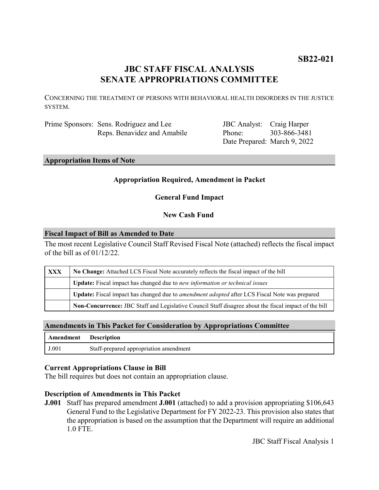# **SB22-021**

# **JBC STAFF FISCAL ANALYSIS SENATE APPROPRIATIONS COMMITTEE**

CONCERNING THE TREATMENT OF PERSONS WITH BEHAVIORAL HEALTH DISORDERS IN THE JUSTICE SYSTEM.

Prime Sponsors: Sens. Rodriguez and Lee Reps. Benavidez and Amabile

JBC Analyst: Craig Harper Phone: Date Prepared: March 9, 2022 303-866-3481

# **Appropriation Items of Note**

#### **Appropriation Required, Amendment in Packet**

**General Fund Impact**

### **New Cash Fund**

#### **Fiscal Impact of Bill as Amended to Date**

The most recent Legislative Council Staff Revised Fiscal Note (attached) reflects the fiscal impact of the bill as of 01/12/22.

| XXX | No Change: Attached LCS Fiscal Note accurately reflects the fiscal impact of the bill                       |
|-----|-------------------------------------------------------------------------------------------------------------|
|     | <b>Update:</b> Fiscal impact has changed due to new information or technical issues                         |
|     | <b>Update:</b> Fiscal impact has changed due to <i>amendment adopted</i> after LCS Fiscal Note was prepared |
|     | Non-Concurrence: JBC Staff and Legislative Council Staff disagree about the fiscal impact of the bill       |

# **Amendments in This Packet for Consideration by Appropriations Committee**

| <b>Amendment</b> Description |                                        |
|------------------------------|----------------------------------------|
| J.001                        | Staff-prepared appropriation amendment |

#### **Current Appropriations Clause in Bill**

The bill requires but does not contain an appropriation clause.

#### **Description of Amendments in This Packet**

**J.001** Staff has prepared amendment **J.001** (attached) to add a provision appropriating \$106,643 General Fund to the Legislative Department for FY 2022-23. This provision also states that the appropriation is based on the assumption that the Department will require an additional 1.0 FTE.